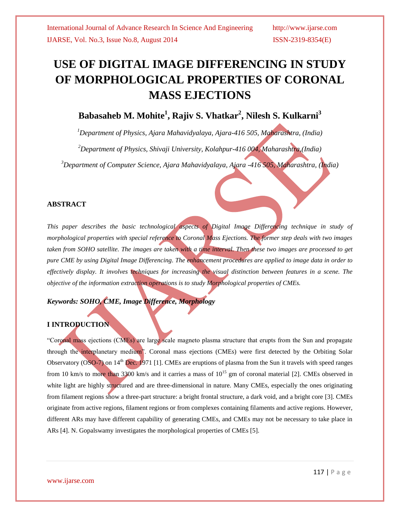# **USE OF DIGITAL IMAGE DIFFERENCING IN STUDY OF MORPHOLOGICAL PROPERTIES OF CORONAL MASS EJECTIONS**

# **Babasaheb M. Mohite<sup>1</sup> , Rajiv S. Vhatkar<sup>2</sup> , Nilesh S. Kulkarni<sup>3</sup>**

*<sup>1</sup>Department of Physics, Ajara Mahavidyalaya, Ajara-416 505, Maharashtra, (India) <sup>2</sup>Department of Physics, Shivaji University, Kolahpur-416 004, Maharashtra,(India) <sup>3</sup>Department of Computer Science, Ajara Mahavidyalaya, Ajara -416 505, Maharashtra, (India)*

### **ABSTRACT**

*This paper describes the basic technological aspects of Digital Image Differencing technique in study of morphological properties with special reference to Coronal Mass Ejections. The former step deals with two images taken from SOHO satellite. The images are taken with a time interval. Then these two images are processed to get pure CME by using Digital Image Differencing. The enhancement procedures are applied to image data in order to effectively display. It involves techniques for increasing the visual distinction between features in a scene. The objective of the information extraction operations is to study Morphological properties of CMEs.*

# *Keywords: SOHO, CME, Image Difference, Morphology*

## **I INTRODUCTION**

"Coronal mass ejections (CMEs) are large scale magneto plasma structure that erupts from the Sun and propagate through the interplanetary medium". Coronal mass ejections (CMEs) were first detected by the Orbiting Solar Observatory (OSO-7) on 14<sup>th</sup> Dec. 1971 [1]. CMEs are eruptions of plasma from the Sun it travels with speed ranges from 10 km/s to more than 3300 km/s and it carries a mass of  $10^{15}$  gm of coronal material [2]. CMEs observed in white light are highly structured and are three-dimensional in nature. Many CMEs, especially the ones originating from filament regions show a three-part structure: a bright frontal structure, a dark void, and a bright core [3]. CMEs originate from active regions, filament regions or from complexes containing filaments and active regions. However, different ARs may have different capability of generating CMEs, and CMEs may not be necessary to take place in ARs [4]. N. Gopalswamy investigates the morphological properties of CMEs [5].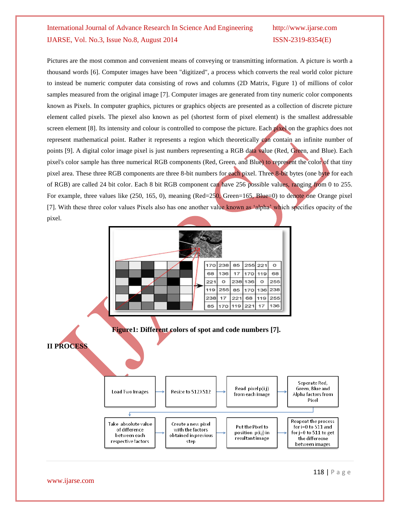Pictures are the most common and convenient means of conveying or transmitting information. A picture is worth a thousand words [6]. Computer images have been "digitized", a process which converts the real world color picture to instead be numeric computer data consisting of rows and columns (2D Matrix, Figure 1) of millions of color samples measured from the original image [7]. Computer images are generated from tiny numeric color components known as Pixels. In computer graphics, pictures or graphics objects are presented as a collection of discrete picture element called pixels. The piexel also known as pel (shortest form of pixel element) is the smallest addressable screen element [8]. Its intensity and colour is controlled to compose the picture. Each pixel on the graphics does not represent mathematical point. Rather it represents a region which theoretically can contain an infinite number of points [9]. A digital color image pixel is just numbers representing a RGB data value (Red, Green, and Blue). Each pixel's color sample has three numerical RGB components (Red, Green, and Blue) to represent the color of that tiny pixel area. These three RGB components are three 8-bit numbers for each pixel. Three 8-bit bytes (one byte for each of RGB) are called 24 bit color. Each 8 bit RGB component can have 256 possible values, ranging from 0 to 255. For example, three values like (250, 165, 0), meaning (Red=250, Green=165, Blue=0) to denote one Orange pixel [7]. With these three color values Pixels also has one another value known as 'alpha' which specifies opacity of the pixel.

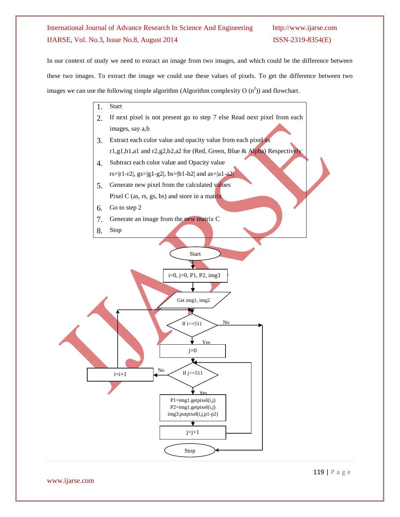In our context of study we need to extract an image from two images, and which could be the difference between these two images. To extract the image we could use these values of pixels. To get the difference between two images we can use the following simple algorithm (Algorithm complexity O  $(n^2)$ ) and flowchart.



www.ijarse.com

119 | P a g e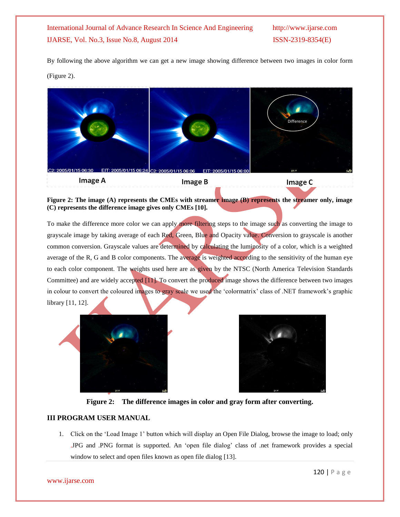By following the above algorithm we can get a new image showing difference between two images in color form (Figure 2).



**Figure 2: The image (A) represents the CMEs with streamer image (B) represents the streamer only, image (C) represents the difference image gives only CMEs [10].**

To make the difference more color we can apply more filtering steps to the image such as converting the image to grayscale image by taking average of each Red, Green, Blue and Opacity value. Conversion to grayscale is another common conversion. Grayscale values are determined by calculating the luminosity of a color, which is a weighted average of the R, G and B color components. The average is weighted according to the sensitivity of the human eye to each color component. The weights used here are as given by the NTSC (North America Television Standards Committee) and are widely accepted [11]. To convert the produced image shows the difference between two images in colour to convert the coloured images to gray scale we used the 'colormatrix' class of .NET framework's graphic library [11, 12].





**Figure 2: The difference images in color and gray form after converting.**

### **III PROGRAM USER MANUAL**

1. Click on the "Load Image 1" button which will display an Open File Dialog, browse the image to load; only .JPG and .PNG format is supported. An "open file dialog" class of .net framework provides a special window to select and open files known as open file dialog [13].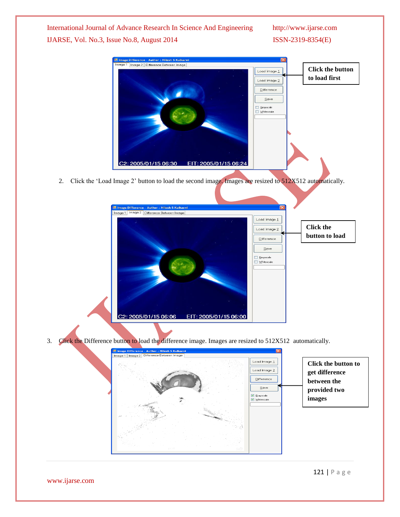

Grayscale<br>I Whitescale

3. Click the Difference button to load the difference image. Images are resized to 512X512 automatically.

EIT: 2005/01/15 06:00

C2: 2005/01/15 06:06



www.ijarse.com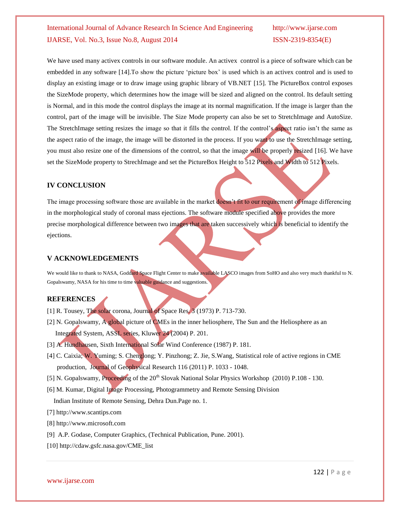We have used many activex controls in our software module. An activex control is a piece of software which can be embedded in any software [14].To show the picture "picture box" is used which is an activex control and is used to display an existing image or to draw image using graphic library of VB.NET [15]. The PictureBox control exposes the SizeMode property, which determines how the image will be sized and aligned on the control. Its default setting is Normal, and in this mode the control displays the image at its normal magnification. If the image is larger than the control, part of the image will be invisible. The Size Mode property can also be set to StretchImage and AutoSize. The StretchImage setting resizes the image so that it fills the control. If the control's aspect ratio isn't the same as the aspect ratio of the image, the image will be distorted in the process. If you want to use the StretchImage setting, you must also resize one of the dimensions of the control, so that the image will be properly resized [16]. We have set the SizeMode property to StrechImage and set the PictureBox Height to 512 Pixels and Width to 512 Pixels.

### **IV CONCLUSION**

The image processing software those are available in the market doesn't fit to our requirement of image differencing in the morphological study of coronal mass ejections. The software module specified above provides the more precise morphological difference between two images that are taken successively which is beneficial to identify the ejections.

## **V ACKNOWLEDGEMENTS**

We would like to thank to NASA, Goddard Space Flight Center to make available LASCO images from SoHO and also very much thankful to N. Gopalswamy, NASA for his time to time valuable guidance and suggestions.

### **REFERENCES**

- [1] R. Tousey, The solar corona, Journal of Space Res. 3 (1973) P. 713-730.
- [2] N. Gopalswamy, A global picture of CMEs in the inner heliosphere, The Sun and the Heliosphere as an Integrated System, ASSL series, Kluwer 24 (2004) P. 201.
- [3] A. Hundhausen, Sixth International Solar Wind Conference (1987) P. 181.
- [4] C. Caixia; W. Yuming; S. Chenglong; Y. Pinzhong; Z. Jie, S.Wang, Statistical role of active regions in CME production, Journal of Geophysical Research 116 (2011) P. 1033 - 1048.
- [5] N. Gopalswamy, Proceeding of the 20<sup>th</sup> Slovak National Solar Physics Workshop (2010) P.108 130.
- [6] M. Kumar, Digital Image Processing, Photogrammetry and Remote Sensing Division

Indian Institute of Remote Sensing, Dehra Dun.Page no. 1.

- [7] [http://www.scantips.com](http://www.scantips.com/)
- [8] [http://www.microsoft.com](http://www.microsoft.com/)
- [9] A.P. Godase, Computer Graphics, (Technical Publication, Pune. 2001).
- [10] http://cdaw.gsfc.nasa.gov/CME\_list